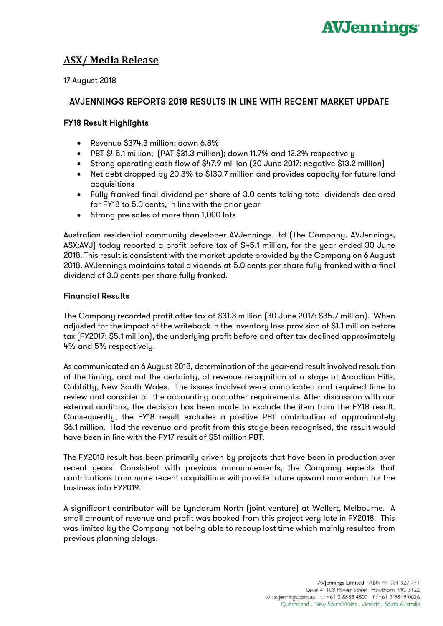

# **ASX/ Media Release**

17 August 2018

# AVJENNINGS REPORTS 2018 RESULTS IN LINE WITH RECENT MARKET UPDATE

# FY18 Result Highlights

- Revenue \$374.3 million; down 6.8%
- PBT \$45.1 million; (PAT \$31.3 million); down 11.7% and 12.2% respectively
- Strong operating cash flow of \$47.9 million (30 June 2017: negative \$13.2 million)
- Net debt dropped by 20.3% to \$130.7 million and provides capacity for future land acquisitions
- Fully franked final dividend per share of 3.0 cents taking total dividends declared for FY18 to 5.0 cents, in line with the prior year
- Strong pre-sales of more than 1,000 lots

Australian residential community developer AVJennings Ltd (The Company, AVJennings, ASX:AVJ) today reported a profit before tax of \$45.1 million, for the year ended 30 June 2018. This result is consistent with the market update provided by the Company on 6 August 2018. AVJennings maintains total dividends at 5.0 cents per share fully franked with a final dividend of 3.0 cents per share fully franked.

## Financial Results

The Company recorded profit after tax of \$31.3 million (30 June 2017: \$35.7 million). When adjusted for the impact of the writeback in the inventory loss provision of \$1.1 million before tax (FY2017: \$5.1 million), the underlying profit before and after tax declined approximately 4% and 5% respectively.

As communicated on 6 August 2018, determination of the year-end result involved resolution of the timing, and not the certainty, of revenue recognition of a stage at Arcadian Hills, Cobbitty, New South Wales. The issues involved were complicated and required time to review and consider all the accounting and other requirements. After discussion with our external auditors, the decision has been made to exclude the item from the FY18 result. Consequently, the FY18 result excludes a positive PBT contribution of approximately \$6.1 million. Had the revenue and profit from this stage been recognised, the result would have been in line with the FY17 result of \$51 million PBT.

The FY2018 result has been primarily driven by projects that have been in production over recent years. Consistent with previous announcements, the Company expects that contributions from more recent acquisitions will provide future upward momentum for the business into FY2019.

A significant contributor will be Lyndarum North (joint venture) at Wollert, Melbourne. A small amount of revenue and profit was booked from this project very late in FY2018. This was limited by the Company not being able to recoup lost time which mainly resulted from previous planning delays.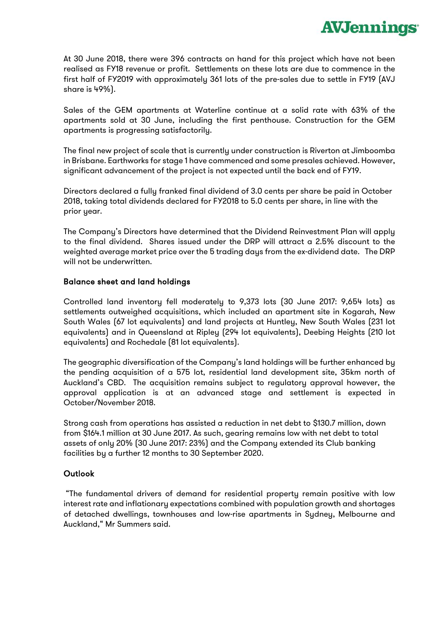At 30 June 2018, there were 396 contracts on hand for this project which have not been realised as FY18 revenue or profit. Settlements on these lots are due to commence in the first half of FY2019 with approximately 361 lots of the pre-sales due to settle in FY19 (AVJ share is 49%).

**AVJennings** 

Sales of the GEM apartments at Waterline continue at a solid rate with 63% of the apartments sold at 30 June, including the first penthouse. Construction for the GEM apartments is progressing satisfactorily.

The final new project of scale that is currently under construction is Riverton at Jimboomba in Brisbane. Earthworks for stage 1 have commenced and some presales achieved. However, significant advancement of the project is not expected until the back end of FY19.

Directors declared a fully franked final dividend of 3.0 cents per share be paid in October 2018, taking total dividends declared for FY2018 to 5.0 cents per share, in line with the prior year.

The Company's Directors have determined that the Dividend Reinvestment Plan will apply to the final dividend. Shares issued under the DRP will attract a 2.5% discount to the weighted average market price over the 5 trading days from the ex-dividend date. The DRP will not be underwritten.

### Balance sheet and land holdings

Controlled land inventory fell moderately to 9,373 lots (30 June 2017: 9,654 lots) as settlements outweighed acquisitions, which included an apartment site in Kogarah, New South Wales (67 lot equivalents) and land projects at Huntley, New South Wales (231 lot equivalents) and in Queensland at Ripley (294 lot equivalents), Deebing Heights (210 lot equivalents) and Rochedale (81 lot equivalents).

The geographic diversification of the Company's land holdings will be further enhanced by the pending acquisition of a 575 lot, residential land development site, 35km north of Auckland's CBD. The acquisition remains subject to regulatory approval however, the approval application is at an advanced stage and settlement is expected in October/November 2018.

Strong cash from operations has assisted a reduction in net debt to \$130.7 million, down from \$164.1 million at 30 June 2017. As such, gearing remains low with net debt to total assets of only 20% (30 June 2017: 23%) and the Company extended its Club banking facilities by a further 12 months to 30 September 2020.

### **Outlook**

"The fundamental drivers of demand for residential property remain positive with low interest rate and inflationary expectations combined with population growth and shortages of detached dwellings, townhouses and low-rise apartments in Sydney, Melbourne and Auckland," Mr Summers said.